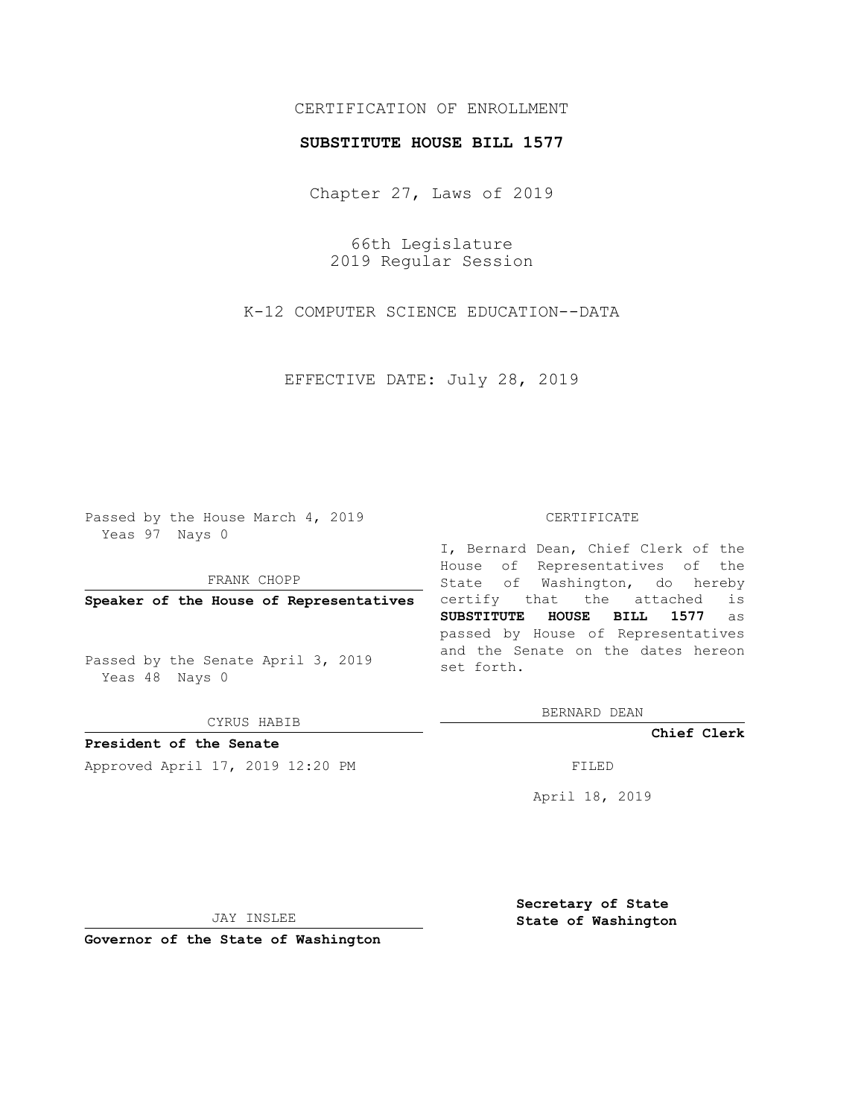# CERTIFICATION OF ENROLLMENT

### **SUBSTITUTE HOUSE BILL 1577**

Chapter 27, Laws of 2019

66th Legislature 2019 Regular Session

K-12 COMPUTER SCIENCE EDUCATION--DATA

EFFECTIVE DATE: July 28, 2019

Passed by the House March 4, 2019 Yeas 97 Nays 0

FRANK CHOPP

**Speaker of the House of Representatives**

Passed by the Senate April 3, 2019 Yeas 48 Nays 0

CYRUS HABIB

**President of the Senate**

Approved April 17, 2019 12:20 PM FILED

#### CERTIFICATE

I, Bernard Dean, Chief Clerk of the House of Representatives of the State of Washington, do hereby certify that the attached is **SUBSTITUTE HOUSE BILL 1577** as passed by House of Representatives and the Senate on the dates hereon set forth.

BERNARD DEAN

**Chief Clerk**

April 18, 2019

JAY INSLEE

**Governor of the State of Washington**

**Secretary of State State of Washington**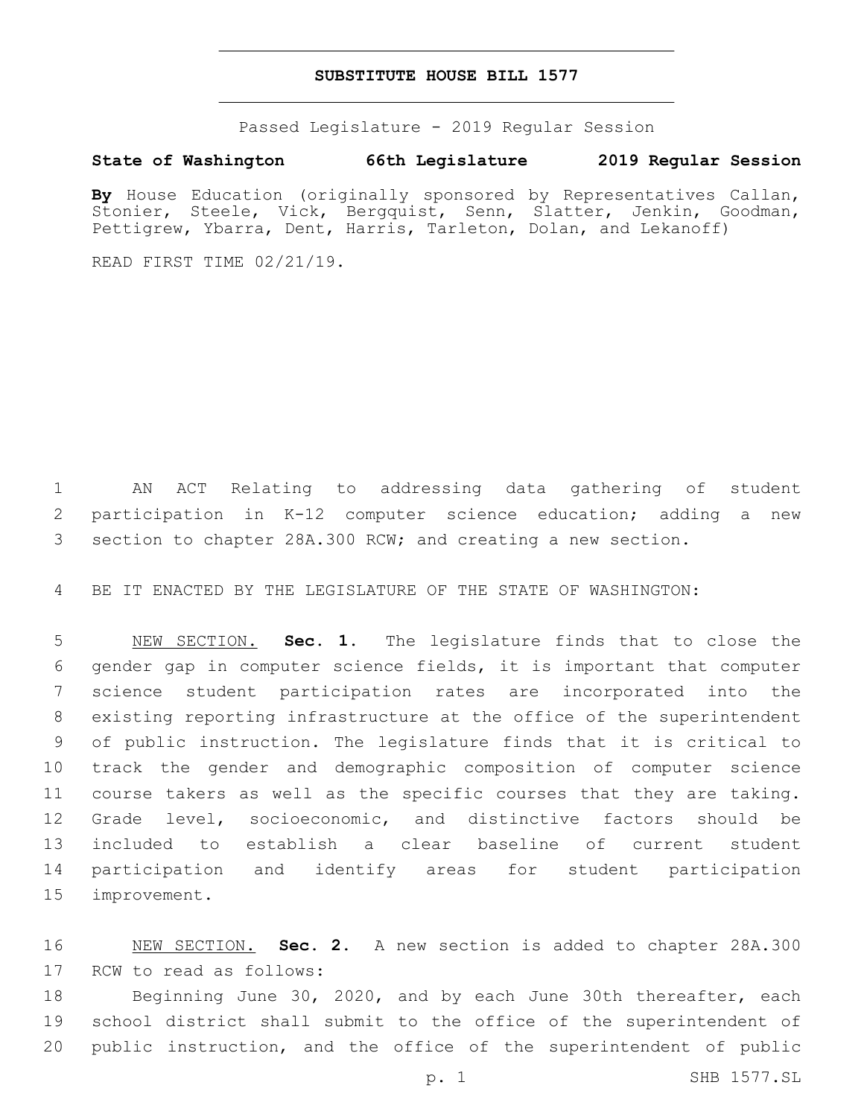### **SUBSTITUTE HOUSE BILL 1577**

Passed Legislature - 2019 Regular Session

## **State of Washington 66th Legislature 2019 Regular Session**

By House Education (originally sponsored by Representatives Callan, Stonier, Steele, Vick, Bergquist, Senn, Slatter, Jenkin, Goodman, Pettigrew, Ybarra, Dent, Harris, Tarleton, Dolan, and Lekanoff)

READ FIRST TIME 02/21/19.

 AN ACT Relating to addressing data gathering of student participation in K-12 computer science education; adding a new section to chapter 28A.300 RCW; and creating a new section.

BE IT ENACTED BY THE LEGISLATURE OF THE STATE OF WASHINGTON:

 NEW SECTION. **Sec. 1.** The legislature finds that to close the gender gap in computer science fields, it is important that computer science student participation rates are incorporated into the existing reporting infrastructure at the office of the superintendent of public instruction. The legislature finds that it is critical to track the gender and demographic composition of computer science course takers as well as the specific courses that they are taking. Grade level, socioeconomic, and distinctive factors should be included to establish a clear baseline of current student participation and identify areas for student participation improvement.

 NEW SECTION. **Sec. 2.** A new section is added to chapter 28A.300 17 RCW to read as follows:

18 Beginning June 30, 2020, and by each June 30th thereafter, each school district shall submit to the office of the superintendent of public instruction, and the office of the superintendent of public